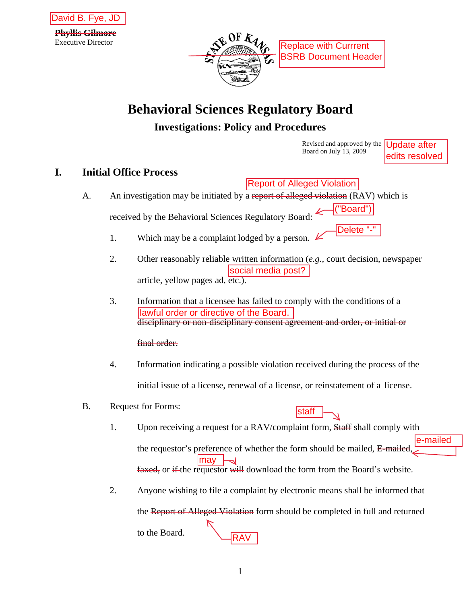



# **Behavioral Sciences Regulatory Board Investigations: Policy and Procedures**<br>Revised and approved by the

Board on July 13, 2009

Update after edits resolved

## **I. Initial Office Process**

- A. An investigation may be initiated by a report of alleged violation (RAV) which is received by the Behavioral Sciences Regulatory Board:
	- 1. Which may be a complaint lodged by a person.  $\angle$
	- 2. Other reasonably reliable written information (*e.g.*, court decision, newspaper article, yellow pages ad, etc.).
	- 3. Information that a licensee has failed to comply with the conditions of a disciplinary or non-disciplinary consent agreement and order, or initial or

#### final order.

- 4. Information indicating a possible violation received during the process of the initial issue of a license, renewal of a license, or reinstatement of a license.
- B. Request for Forms:
- staff
- 1. Upon receiving a request for a RAV/complaint form, Staff shall comply with the requestor's preference of whether the form should be mailed, E-mailed faxed, or if the requestor will download the form from the Board's website. e-mailed **Example 1.1** (Report of Alleged Violation (RAV)<br>
by the Behavioral Sciences Regulatory Board:  $\frac{(\text{[Board']})}{(\text{[Board']})})$ <br>
Which may be a complaint lodged by a person.  $\frac{(\text{[Board']})}{(\text{[Board']})})$ <br>
Which may be a complaint lodged by
- 2. Anyone wishing to file a complaint by electronic means shall be informed that

the Report of Alleged Violation form should be completed in full and returned to the Board.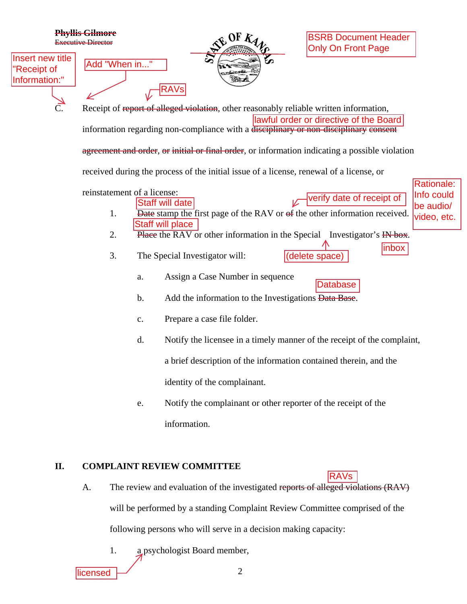|                                                  | <b>Phyllis Gilmore</b><br><b>Executive Director</b>                                  |                                                                                                                                  | OFK                              | <b>BSRB Document Header</b><br><b>Only On Front Page</b>                          |                          |  |  |  |
|--------------------------------------------------|--------------------------------------------------------------------------------------|----------------------------------------------------------------------------------------------------------------------------------|----------------------------------|-----------------------------------------------------------------------------------|--------------------------|--|--|--|
| Insert new title<br>"Receipt of<br>Information:" | Add "When in"                                                                        |                                                                                                                                  | <b>S7</b><br><b>Sachard</b>      |                                                                                   |                          |  |  |  |
| $\overline{C}$ .                                 |                                                                                      | Receipt of report of alleged violation, other reasonably reliable written information,<br>lawful order or directive of the Board |                                  |                                                                                   |                          |  |  |  |
|                                                  | information regarding non-compliance with a disciplinary or non-disciplinary consent |                                                                                                                                  |                                  |                                                                                   |                          |  |  |  |
|                                                  |                                                                                      | agreement and order, or initial or final order, or information indicating a possible violation                                   |                                  |                                                                                   |                          |  |  |  |
|                                                  |                                                                                      | received during the process of the initial issue of a license, renewal of a license, or                                          |                                  |                                                                                   |                          |  |  |  |
|                                                  | reinstatement of a license:                                                          |                                                                                                                                  |                                  |                                                                                   | Rationale:<br>Info could |  |  |  |
|                                                  |                                                                                      | <b>Staff will date</b>                                                                                                           |                                  | verify date of receipt of                                                         | be audio/                |  |  |  |
|                                                  | 1.                                                                                   | <b>Staff will place</b>                                                                                                          |                                  | Date stamp the first page of the RAV or of the other information received.        | video, etc.              |  |  |  |
|                                                  | 2.                                                                                   |                                                                                                                                  |                                  | Place the RAV or other information in the Special Investigator's IN box.          |                          |  |  |  |
|                                                  | 3.                                                                                   | The Special Investigator will:                                                                                                   |                                  | (delete space)                                                                    | inbox                    |  |  |  |
|                                                  |                                                                                      | a.                                                                                                                               | Assign a Case Number in sequence | <b>Database</b>                                                                   |                          |  |  |  |
|                                                  |                                                                                      | b.                                                                                                                               |                                  | Add the information to the Investigations Data Base.                              |                          |  |  |  |
|                                                  |                                                                                      | c.                                                                                                                               | Prepare a case file folder.      |                                                                                   |                          |  |  |  |
|                                                  |                                                                                      | d.                                                                                                                               |                                  | Notify the licensee in a timely manner of the receipt of the complaint,           |                          |  |  |  |
|                                                  |                                                                                      |                                                                                                                                  |                                  | a brief description of the information contained therein, and the                 |                          |  |  |  |
|                                                  |                                                                                      |                                                                                                                                  | identity of the complainant.     |                                                                                   |                          |  |  |  |
|                                                  |                                                                                      | e.                                                                                                                               |                                  | Notify the complainant or other reporter of the receipt of the                    |                          |  |  |  |
|                                                  |                                                                                      | information.                                                                                                                     |                                  |                                                                                   |                          |  |  |  |
|                                                  |                                                                                      |                                                                                                                                  |                                  |                                                                                   |                          |  |  |  |
| II.                                              |                                                                                      | <b>COMPLAINT REVIEW COMMITTEE</b>                                                                                                |                                  | <b>RAVs</b>                                                                       |                          |  |  |  |
|                                                  | A.                                                                                   |                                                                                                                                  |                                  | The review and evaluation of the investigated reports of alleged violations (RAV) |                          |  |  |  |
|                                                  |                                                                                      |                                                                                                                                  |                                  | will be performed by a standing Complaint Review Committee comprised of the       |                          |  |  |  |
|                                                  | following persons who will serve in a decision making capacity:                      |                                                                                                                                  |                                  |                                                                                   |                          |  |  |  |
|                                                  | 1.                                                                                   | a psychologist Board member,                                                                                                     |                                  |                                                                                   |                          |  |  |  |
|                                                  | licensed                                                                             |                                                                                                                                  | 2                                |                                                                                   |                          |  |  |  |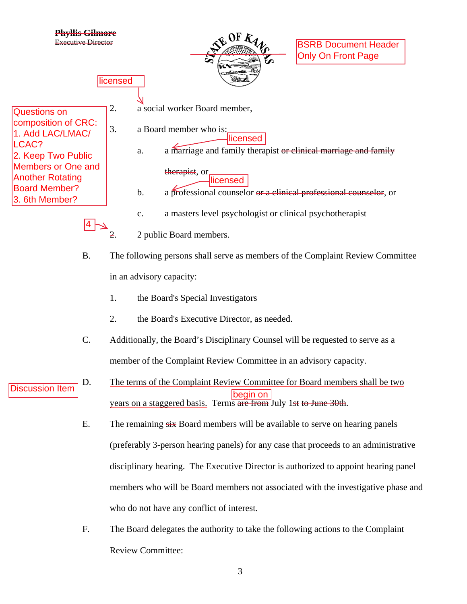

- 1. the Board's Special Investigators
- 2. the Board's Executive Director, as needed.
- C. Additionally, the Board's Disciplinary Counsel will be requested to serve as a member of the Complaint Review Committee in an advisory capacity.
- D. The terms of the Complaint Review Committee for Board members shall be two years on a staggered basis. Terms are from July 1st to June 30th. Discussion Item
	- E. The remaining  $s$ ix Board members will be available to serve on hearing panels (preferably 3-person hearing panels) for any case that proceeds to an administrative disciplinary hearing. The Executive Director is authorized to appoint hearing panel members who will be Board members not associated with the investigative phase and who do not have any conflict of interest.
	- F. The Board delegates the authority to take the following actions to the Complaint Review Committee:

3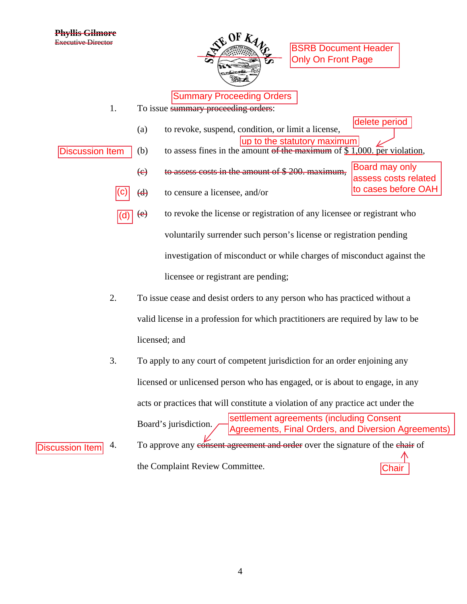Discussion Item



BSRB Document Header Only On Front Page

- 1. To issue summary proceeding orders:
	- (a) to revoke, suspend, condition, or limit a license, delete period
- (b) to assess fines in the amount of the maximum of  $$1,000$ . per violation, Discussion Item
	- (c) to assess costs in the amount of \$ 200. maximum, Board may only assess costs related
	- $\overline{(c)}$  (d) to censure a licensee, and/or  $\overline{(c)}$  to cases before OAH
	- (e) to revoke the license or registration of any licensee or registrant who voluntarily surrender such person's license or registration pending investigation of misconduct or while charges of misconduct against the licensee or registrant are pending; (d)
	- 2. To issue cease and desist orders to any person who has practiced without a valid license in a profession for which practitioners are required by law to be licensed; and
- 3. To apply to any court of competent jurisdiction for an order enjoining any licensed or unlicensed person who has engaged, or is about to engage, in any acts or practices that will constitute a violation of any practice act under the Board's jurisdiction. 4. To approve any consent agreement and order over the signature of the chair of **Summary Proceeding Orders**<br>
Transvery proceeding orders:<br>
Transverse in the statutory maximum<br>
sasess fines in the amount of the statutory maximum<br>
sases eosts in the amount of the maximum of  $\frac{S1,000}{S}$  per viol<br>
ass settlement agreements (including Consent Agreements, Final Orders, and Diversion Agreements)

the Complaint Review Committee.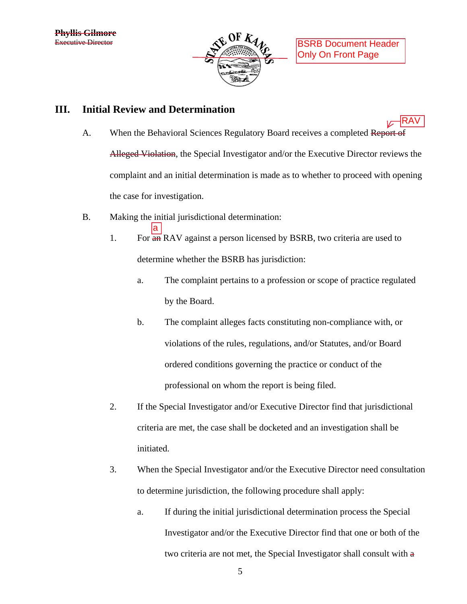

RAV

#### **III. Initial Review and Determination**

- A. When the Behavioral Sciences Regulatory Board receives a completed Report of Alleged Violation, the Special Investigator and/or the Executive Director reviews the complaint and an initial determination is made as to whether to proceed with opening the case for investigation.
- B. Making the initial jurisdictional determination:

a

- 1. For  $\frac{1}{2}$  For  $\frac{1}{2}$  RAV against a person licensed by BSRB, two criteria are used to determine whether the BSRB has jurisdiction:
	- a. The complaint pertains to a profession or scope of practice regulated by the Board.
	- b. The complaint alleges facts constituting non-compliance with, or violations of the rules, regulations, and/or Statutes, and/or Board ordered conditions governing the practice or conduct of the professional on whom the report is being filed.
- 2. If the Special Investigator and/or Executive Director find that jurisdictional criteria are met, the case shall be docketed and an investigation shall be initiated.
- 3. When the Special Investigator and/or the Executive Director need consultation to determine jurisdiction, the following procedure shall apply:
	- a. If during the initial jurisdictional determination process the Special Investigator and/or the Executive Director find that one or both of the two criteria are not met, the Special Investigator shall consult with a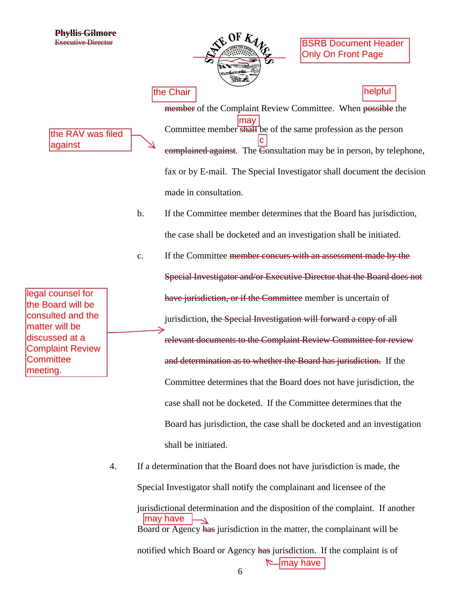

BSRB Document Header Only On Front Page

the RAV was filed against

legal counsel for the Board will be consulted and the matter will be discussed at a Complaint Review **Committee** meeting.

member of the Complaint Review Committee. When possible the Committee member shall be of the same profession as the person complained against. The  $\overline{\mathsf{C}}$  onsultation may be in person, by telephone, fax or by E-mail. The Special Investigator shall document the decision made in consultation. c

b. If the Committee member determines that the Board has jurisdiction, the case shall be docketed and an investigation shall be initiated.

c. If the Committee member concurs with an assessment made by the Special Investigator and/or Executive Director that the Board does not have jurisdiction, or if the Committee member is uncertain of jurisdiction, the Special Investigation will forward a copy of all relevant documents to the Complaint Review Committee for review and determination as to whether the Board has jurisdiction. If the Committee determines that the Board does not have jurisdiction, the case shall not be docketed. If the Committee determines that the Board has jurisdiction, the case shall be docketed and an investigation shall be initiated. the Chair<br>
member of the Complaint Review Committee. When possible<br>
Committee member shall be of the same profession as the per<br>
emphained against. The Special Investigator shall document the<br>
match in the Sonsultation ma

4. If a determination that the Board does not have jurisdiction is made, the Special Investigator shall notify the complainant and licensee of the

jurisdictional determination and the disposition of the complaint. If another Board or Agency has jurisdiction in the matter, the complainant will be notified which Board or Agency has jurisdiction. If the complaint is of may have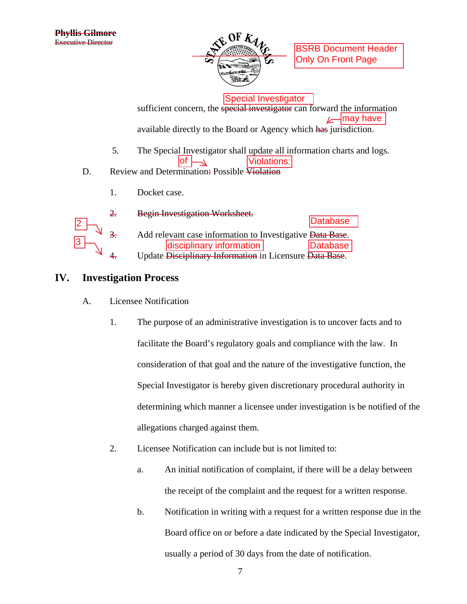

BSRB Document Header Only On Front Page

Special Investigator

sufficient concern, the special investigator can forward the information available directly to the Board or Agency which has jurisdiction.  $\mathbb{Z}$  may have

- 5. The Special Investigator shall update all information charts and logs. **Violations:**
- D. Review and Determination: Possible Violation
	- 1. Docket case.



3. Add relevant case information to Investigative Data Base. Update Disciplinary Information in Licensure Data Base. Database  $\begin{array}{c|c|c} \text{2} & \text{Database} \ \hline \text{3} & \text{Add relevant case information to Investigative Data Base.} \ \hline \end{array}$ disciplinary information

#### **IV. Investigation Process**

- A. Licensee Notification
	- 1. The purpose of an administrative investigation is to uncover facts and to facilitate the Board's regulatory goals and compliance with the law. In consideration of that goal and the nature of the investigative function, the Special Investigator is hereby given discretionary procedural authority in determining which manner a licensee under investigation is be notified of the allegations charged against them.
	- 2. Licensee Notification can include but is not limited to:
		- a. An initial notification of complaint, if there will be a delay between the receipt of the complaint and the request for a written response.
		- b. Notification in writing with a request for a written response due in the Board office on or before a date indicated by the Special Investigator, usually a period of 30 days from the date of notification.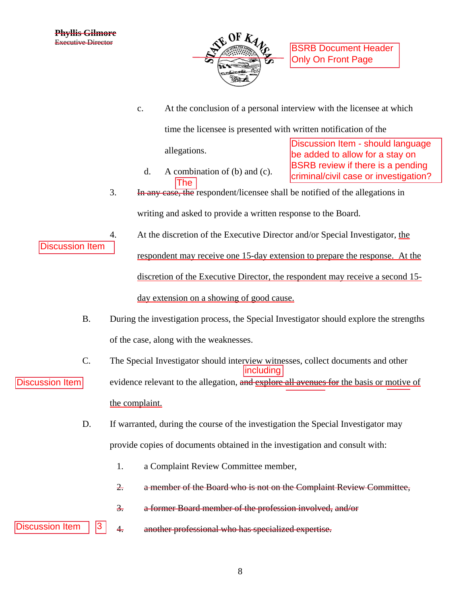

c. At the conclusion of a personal interview with the licensee at which

time the licensee is presented with written notification of the

allegations.

d. A combination of (b) and (c). The

Discussion Item - should language be added to allow for a stay on BSRB review if there is a pending criminal/civil case or investigation?

- 3. In any case, the respondent/licensee shall be notified of the allegations in writing and asked to provide a written response to the Board.
- 4. At the discretion of the Executive Director and/or Special Investigator, the

respondent may receive one 15-day extension to prepare the response. At the discretion of the Executive Director, the respondent may receive a second 15 day extension on a showing of good cause.

- B. During the investigation process, the Special Investigator should explore the strengths of the case, along with the weaknesses.
- C. The Special Investigator should interview witnesses, collect documents and other including
- evidence relevant to the allegation, and explore all avenues for the basis or motive of the complaint.
	- D. If warranted, during the course of the investigation the Special Investigator may provide copies of documents obtained in the investigation and consult with:
		- 1. a Complaint Review Committee member,
		- 2. a member of the Board who is not on the Complaint Review Committee,
		- 3. a former Board member of the profession involved, and/or
- 4. another professional who has specialized expertise. Discussion Item  $|$  | 3
	- 8

Discussion Item

## Discussion Item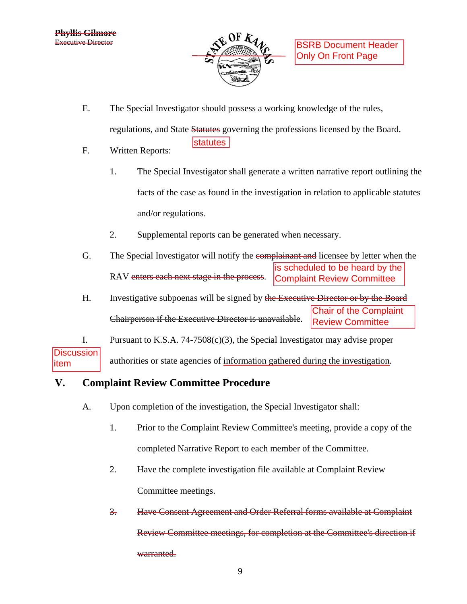

E. The Special Investigator should possess a working knowledge of the rules,

statutes

regulations, and State Statures governing the professions licensed by the Board.

- F. Written Reports:
	- 1. The Special Investigator shall generate a written narrative report outlining the facts of the case as found in the investigation in relation to applicable statutes and/or regulations.
	- 2. Supplemental reports can be generated when necessary.
- G. The Special Investigator will notify the complainant and licensee by letter when the RAV enters each next stage in the process. is scheduled to be heard by the Complaint Review Committee
- H. Investigative subpoenas will be signed by the Executive Director or by the Board Chairperson if the Executive Director is unavailable. Chair of the Complaint Review Committee

I. Pursuant to K.S.A. 74-7508(c)(3), the Special Investigator may advise proper authorities or state agencies of information gathered during the investigation. **Discussion** item

## **V. Complaint Review Committee Procedure**

- A. Upon completion of the investigation, the Special Investigator shall:
	- 1. Prior to the Complaint Review Committee's meeting, provide a copy of the completed Narrative Report to each member of the Committee.
	- 2. Have the complete investigation file available at Complaint Review Committee meetings.
	- 3. Have Consent Agreement and Order Referral forms available at Complaint Review Committee meetings, for completion at the Committee's direction if warranted.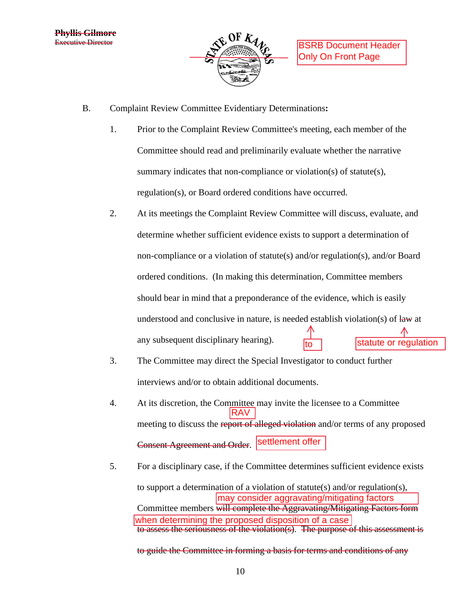

- B. Complaint Review Committee Evidentiary Determinations**:**
	- 1. Prior to the Complaint Review Committee's meeting, each member of the Committee should read and preliminarily evaluate whether the narrative summary indicates that non-compliance or violation(s) of statute(s), regulation(s), or Board ordered conditions have occurred.
	- 2. At its meetings the Complaint Review Committee will discuss, evaluate, and determine whether sufficient evidence exists to support a determination of non-compliance or a violation of statute(s) and/or regulation(s), and/or Board ordered conditions. (In making this determination, Committee members should bear in mind that a preponderance of the evidence, which is easily understood and conclusive in nature, is needed establish violation(s) of law at any subsequent disciplinary hearing).
	- 3. The Committee may direct the Special Investigator to conduct further interviews and/or to obtain additional documents.
	- 4. At its discretion, the Committee may invite the licensee to a Committee meeting to discuss the report of alleged violation and/or terms of any proposed Consent Agreement and Order. Settlement offer RAV mary hearing).<br>
	litect the Special Investigator to conduct further<br>
	btain additional documents.<br>
	Committee may invite the licensee to a Committee<br>
	<del>RAV</del><br>
	report of alleged violation and/or terms of any proposed<br>
	nd Order.
	- 5. For a disciplinary case, if the Committee determines sufficient evidence exists

to support a determination of a violation of statute(s) and/or regulation(s), Committee members will complete the Aggravating/Mitigating Factors form to assess the seriousness of the violation(s). The purpose of this assessment is when determining the proposed disposition of a case

to guide the Committee in forming a basis for terms and conditions of any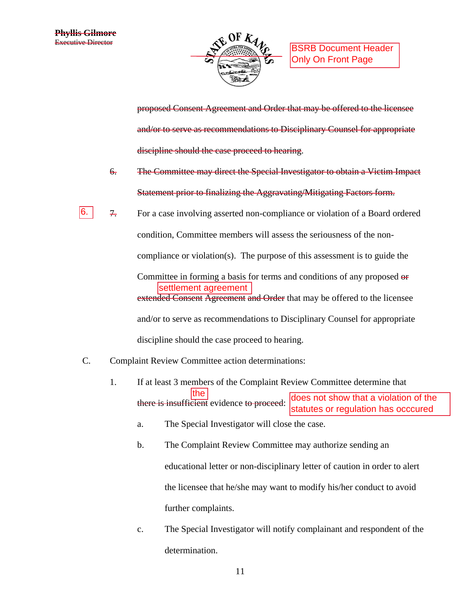

proposed Consent Agreement and Order that may be offered to the licensee and/or to serve as recommendations to Disciplinary Counsel for appropriate discipline should the case proceed to hearing.

- 6. The Committee may direct the Special Investigator to obtain a Victim Impact Statement prior to finalizing the Aggravating/Mitigating Factors form.
- 7. For a case involving asserted non-compliance or violation of a Board ordered condition, Committee members will assess the seriousness of the noncompliance or violation(s). The purpose of this assessment is to guide the Committee in forming a basis for terms and conditions of any proposed or extended Consent Agreement and Order that may be offered to the licensee and/or to serve as recommendations to Disciplinary Counsel for appropriate discipline should the case proceed to hearing. For a case involving asserted non-compliance or violation of a Board ordered<br>condition, Committee members will assess the seriousness of the non-<br>compliance or violation(s). The purpose of this assessment is to guide the<br>
- C. Complaint Review Committee action determinations:
	- 1. If at least 3 members of the Complaint Review Committee determine that there is insufficient evidence to proceed: the does not show that a violation of the
		- a. The Special Investigator will close the case.
		- b. The Complaint Review Committee may authorize sending an educational letter or non-disciplinary letter of caution in order to alert the licensee that he/she may want to modify his/her conduct to avoid further complaints.
		- c. The Special Investigator will notify complainant and respondent of the determination.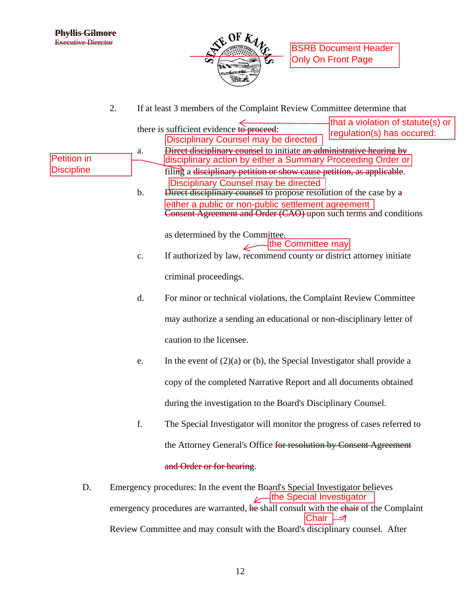

**BSRB Document Header** Only On Front Page

2. If at least 3 members of the Complaint Review Committee determine that

|                    |               | that a violation of statute(s) or<br>there is sufficient evidence to proceed:                            |  |  |  |  |
|--------------------|---------------|----------------------------------------------------------------------------------------------------------|--|--|--|--|
|                    |               | regulation(s) has occured:<br><b>Disciplinary Counsel may be directed</b>                                |  |  |  |  |
|                    | ${\bf a}.$    | Direct disciplinary counsel to initiate an administrative hearing by                                     |  |  |  |  |
| <b>Petition in</b> |               | disciplinary action by either a Summary Proceeding Order or                                              |  |  |  |  |
| <b>Discipline</b>  |               | filing a disciplinary petition or show cause petition, as applicable.                                    |  |  |  |  |
|                    |               | <b>Disciplinary Counsel may be directed</b>                                                              |  |  |  |  |
|                    | $\mathbf b$ . | Direct disciplinary counsel to propose resolution of the case by a                                       |  |  |  |  |
|                    |               | either a public or non-public settlement agreement                                                       |  |  |  |  |
|                    |               | Consent Agreement and Order (CAO) upon such terms and conditions                                         |  |  |  |  |
|                    |               |                                                                                                          |  |  |  |  |
|                    |               | as determined by the Committee.<br>the Committee may                                                     |  |  |  |  |
|                    | c.            | If authorized by law, recommend county or district attorney initiate                                     |  |  |  |  |
|                    |               |                                                                                                          |  |  |  |  |
|                    |               | criminal proceedings.                                                                                    |  |  |  |  |
|                    |               |                                                                                                          |  |  |  |  |
|                    | d.            | For minor or technical violations, the Complaint Review Committee                                        |  |  |  |  |
|                    |               |                                                                                                          |  |  |  |  |
|                    |               | may authorize a sending an educational or non-disciplinary letter of                                     |  |  |  |  |
|                    |               |                                                                                                          |  |  |  |  |
|                    |               | caution to the licensee.                                                                                 |  |  |  |  |
|                    | e.            | In the event of $(2)(a)$ or (b), the Special Investigator shall provide a                                |  |  |  |  |
|                    |               |                                                                                                          |  |  |  |  |
|                    |               | copy of the completed Narrative Report and all documents obtained                                        |  |  |  |  |
|                    |               |                                                                                                          |  |  |  |  |
|                    |               | during the investigation to the Board's Disciplinary Counsel.                                            |  |  |  |  |
|                    | f.            | The Special Investigator will monitor the progress of cases referred to                                  |  |  |  |  |
|                    |               |                                                                                                          |  |  |  |  |
|                    |               | the Attorney General's Office for resolution by Consent Agreement                                        |  |  |  |  |
|                    |               |                                                                                                          |  |  |  |  |
|                    |               | and Order or for hearing.                                                                                |  |  |  |  |
|                    |               |                                                                                                          |  |  |  |  |
| D.                 |               | Emergency procedures: In the event the Board's Special Investigator believes<br>the Special Investigator |  |  |  |  |
|                    |               | emergency procedures are warranted, he shall consult with the chair of the Complaint                     |  |  |  |  |
|                    |               | Chair                                                                                                    |  |  |  |  |

Review Committee and may consult with the Board's disciplinary counsel. After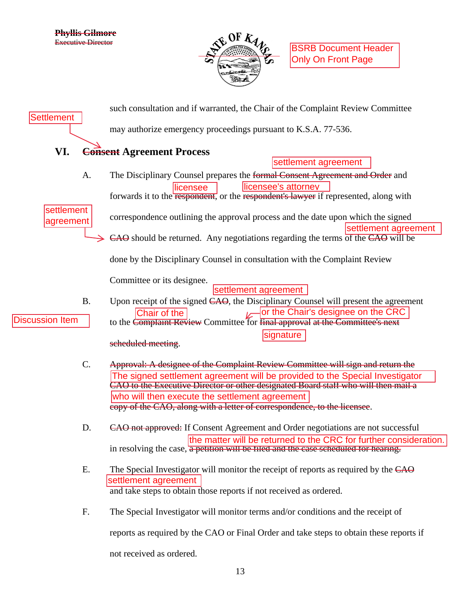

| <b>Settlement</b>       |                | such consultation and if warranted, the Chair of the Complaint Review Committee                                                                                                                                                                                                                                                                                                     |
|-------------------------|----------------|-------------------------------------------------------------------------------------------------------------------------------------------------------------------------------------------------------------------------------------------------------------------------------------------------------------------------------------------------------------------------------------|
|                         |                | may authorize emergency proceedings pursuant to K.S.A. 77-536.                                                                                                                                                                                                                                                                                                                      |
| VI.                     |                | <b>Consent Agreement Process</b><br>settlement agreement                                                                                                                                                                                                                                                                                                                            |
|                         | A.             | The Disciplinary Counsel prepares the formal Consent Agreement and Order and<br>licensee's attorney<br>llicensee<br>forwards it to the respondent, or the respondent's lawyer if represented, along with                                                                                                                                                                            |
| settlement<br>agreement |                | correspondence outlining the approval process and the date upon which the signed<br>settlement agreement<br>CAO should be returned. Any negotiations regarding the terms of the CAO will be                                                                                                                                                                                         |
|                         |                | done by the Disciplinary Counsel in consultation with the Complaint Review                                                                                                                                                                                                                                                                                                          |
| <b>Discussion Item</b>  | <b>B.</b>      | Committee or its designee.<br>settlement agreement<br>Upon receipt of the signed CAO, the Disciplinary Counsel will present the agreement<br>or the Chair's designee on the CRC<br>Chair of the<br>to the Complaint Review Committee for final approval at the Committee's next<br>signature<br>seheduled meeting.                                                                  |
|                         | C.             | Approval: A designee of the Complaint Review Committee will sign and return the<br>The signed settlement agreement will be provided to the Special Investigator<br>CAO to the Executive Director or other designated Board staff who will then mail a<br>who will then execute the settlement agreement<br>copy of the CAO, along with a letter of correspondence, to the licensee. |
|                         | D.             | CAO not approved: If Consent Agreement and Order negotiations are not successful<br>the matter will be returned to the CRC for further consideration.<br>in resolving the case, a petition will be filed and the case scheduled for hearing.                                                                                                                                        |
|                         | Ε.             | The Special Investigator will monitor the receipt of reports as required by the CAO<br>settlement agreement<br>and take steps to obtain those reports if not received as ordered.                                                                                                                                                                                                   |
|                         | F <sub>1</sub> | The Special Investigator will monitor terms and/or conditions and the receipt of                                                                                                                                                                                                                                                                                                    |
|                         |                | reports as required by the CAO or Final Order and take steps to obtain these reports if                                                                                                                                                                                                                                                                                             |
|                         |                | not received as ordered.                                                                                                                                                                                                                                                                                                                                                            |